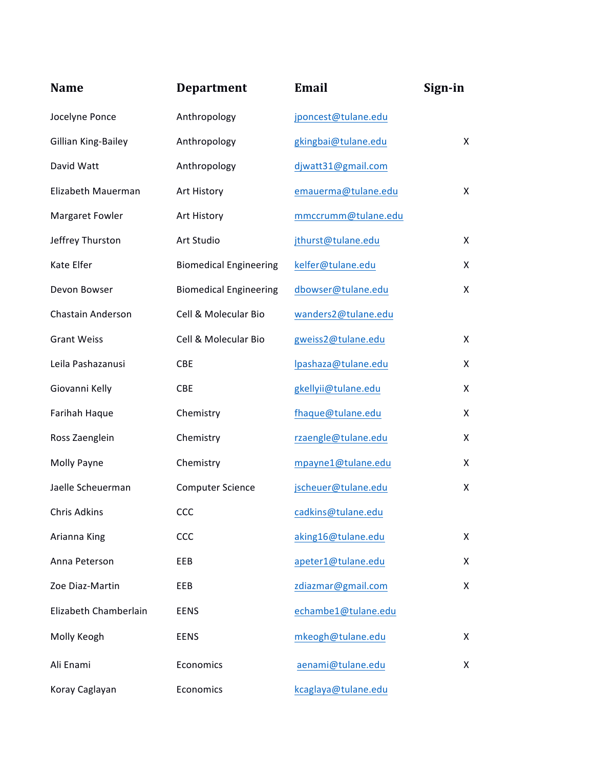| <b>Name</b>           | <b>Department</b>             | Email               | Sign-in |
|-----------------------|-------------------------------|---------------------|---------|
| Jocelyne Ponce        | Anthropology                  | jponcest@tulane.edu |         |
| Gillian King-Bailey   | Anthropology                  | gkingbai@tulane.edu | X       |
| David Watt            | Anthropology                  | djwatt31@gmail.com  |         |
| Elizabeth Mauerman    | Art History                   | emauerma@tulane.edu | X.      |
| Margaret Fowler       | Art History                   | mmccrumm@tulane.edu |         |
| Jeffrey Thurston      | Art Studio                    | jthurst@tulane.edu  | X       |
| Kate Elfer            | <b>Biomedical Engineering</b> | kelfer@tulane.edu   | X       |
| Devon Bowser          | <b>Biomedical Engineering</b> | dbowser@tulane.edu  | X       |
| Chastain Anderson     | Cell & Molecular Bio          | wanders2@tulane.edu |         |
| <b>Grant Weiss</b>    | Cell & Molecular Bio          | gweiss2@tulane.edu  | X       |
| Leila Pashazanusi     | <b>CBE</b>                    | lpashaza@tulane.edu | X       |
| Giovanni Kelly        | CBE                           | gkellyii@tulane.edu | X       |
| Farihah Haque         | Chemistry                     | fhaque@tulane.edu   | X       |
| Ross Zaenglein        | Chemistry                     | rzaengle@tulane.edu | X       |
| Molly Payne           | Chemistry                     | mpayne1@tulane.edu  | X       |
| Jaelle Scheuerman     | <b>Computer Science</b>       | jscheuer@tulane.edu | X       |
| Chris Adkins          | <b>CCC</b>                    | cadkins@tulane.edu  |         |
| Arianna King          | CCC                           | aking16@tulane.edu  | X       |
| Anna Peterson         | EEB                           | apeter1@tulane.edu  | X       |
| Zoe Diaz-Martin       | EEB                           | zdiazmar@gmail.com  | X       |
| Elizabeth Chamberlain | <b>EENS</b>                   | echambe1@tulane.edu |         |
| Molly Keogh           | <b>EENS</b>                   | mkeogh@tulane.edu   | X       |
| Ali Enami             | Economics                     | aenami@tulane.edu   | X       |
| Koray Caglayan        | Economics                     | kcaglaya@tulane.edu |         |